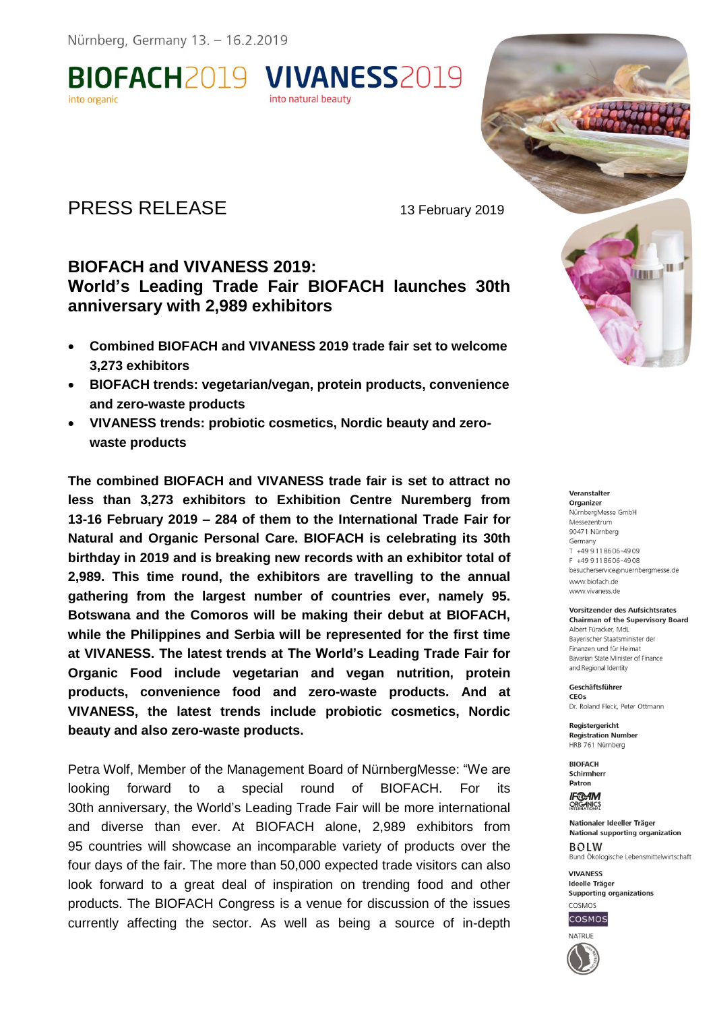**BIOFACH2019 VIVANESS2019** 

# PRESS RELEASE 13 February 2019

## **BIOFACH and VIVANESS 2019: World's Leading Trade Fair BIOFACH launches 30th anniversary with 2,989 exhibitors**

into natural beauty

- **Combined BIOFACH and VIVANESS 2019 trade fair set to welcome 3,273 exhibitors**
- **BIOFACH trends: vegetarian/vegan, protein products, convenience and zero-waste products**
- **VIVANESS trends: probiotic cosmetics, Nordic beauty and zerowaste products**

**The combined BIOFACH and VIVANESS trade fair is set to attract no less than 3,273 exhibitors to Exhibition Centre Nuremberg from 13-16 February 2019 – 284 of them to the International Trade Fair for Natural and Organic Personal Care. BIOFACH is celebrating its 30th birthday in 2019 and is breaking new records with an exhibitor total of 2,989. This time round, the exhibitors are travelling to the annual gathering from the largest number of countries ever, namely 95. Botswana and the Comoros will be making their debut at BIOFACH, while the Philippines and Serbia will be represented for the first time at VIVANESS. The latest trends at The World's Leading Trade Fair for Organic Food include vegetarian and vegan nutrition, protein products, convenience food and zero-waste products. And at VIVANESS, the latest trends include probiotic cosmetics, Nordic beauty and also zero-waste products.**

Petra Wolf, Member of the Management Board of NürnbergMesse: "We are looking forward to a special round of BIOFACH. For its 30th anniversary, the World's Leading Trade Fair will be more international and diverse than ever. At BIOFACH alone, 2,989 exhibitors from 95 countries will showcase an incomparable variety of products over the four days of the fair. The more than 50,000 expected trade visitors can also look forward to a great deal of inspiration on trending food and other products. The BIOFACH Congress is a venue for discussion of the issues currently affecting the sector. As well as being a source of in-depth

Veranstalter Organizer NürnbergMesse GmbH Messezentrum 90471 Nürnberg Germany  $T$  +49 9 11 86 06 - 49 09 F +49 9118606-4908 besucherservice@nuernberamesse.de www.biofach.de www.vivaness.de

III I **THE T** 

#### Vorsitzender des Aufsichtsrates **Chairman of the Supervisory Board** Albert Füracker, MdL Baverischer Staatsminister der Finanzen und für Heimat

Bavarian State Minister of Finance and Regional Identity Geschäftsführer

 $C E$ Os Dr. Roland Fleck, Peter Ottmann

Registergericht **Registration Number** HRB 761 Nürnberg

**RIOFACH** Schirmherr Patron

**IF®AM** ORGANICS

Nationaler Ideeller Träger National supporting organization **BOLW** Bund Ökologische Lebensmittelwirtschaft

**VIVANESS** Ideelle Träger **Supporting organizations** COSMOS



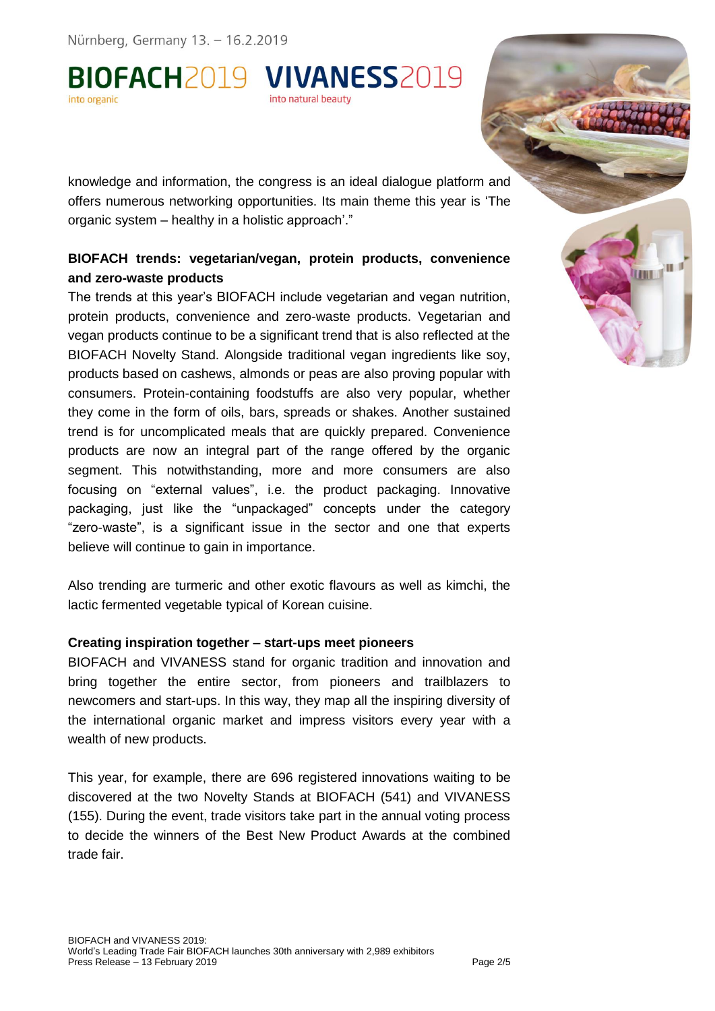Nürnberg, Germany 13. - 16.2.2019

BIOFACH2019 VIVANESS2019 into natural beauty

knowledge and information, the congress is an ideal dialogue platform and offers numerous networking opportunities. Its main theme this year is 'The organic system – healthy in a holistic approach'."

#### **BIOFACH trends: vegetarian/vegan, protein products, convenience and zero-waste products**

The trends at this year's BIOFACH include vegetarian and vegan nutrition, protein products, convenience and zero-waste products. Vegetarian and vegan products continue to be a significant trend that is also reflected at the BIOFACH Novelty Stand. Alongside traditional vegan ingredients like soy, products based on cashews, almonds or peas are also proving popular with consumers. Protein-containing foodstuffs are also very popular, whether they come in the form of oils, bars, spreads or shakes. Another sustained trend is for uncomplicated meals that are quickly prepared. Convenience products are now an integral part of the range offered by the organic segment. This notwithstanding, more and more consumers are also focusing on "external values", i.e. the product packaging. Innovative packaging, just like the "unpackaged" concepts under the category "zero-waste", is a significant issue in the sector and one that experts believe will continue to gain in importance.

Also trending are turmeric and other exotic flavours as well as kimchi, the lactic fermented vegetable typical of Korean cuisine.

#### **Creating inspiration together – start-ups meet pioneers**

BIOFACH and VIVANESS stand for organic tradition and innovation and bring together the entire sector, from pioneers and trailblazers to newcomers and start-ups. In this way, they map all the inspiring diversity of the international organic market and impress visitors every year with a wealth of new products.

This year, for example, there are 696 registered innovations waiting to be discovered at the two Novelty Stands at BIOFACH (541) and VIVANESS (155). During the event, trade visitors take part in the annual voting process to decide the winners of the Best New Product Awards at the combined trade fair.

ш **THEFT**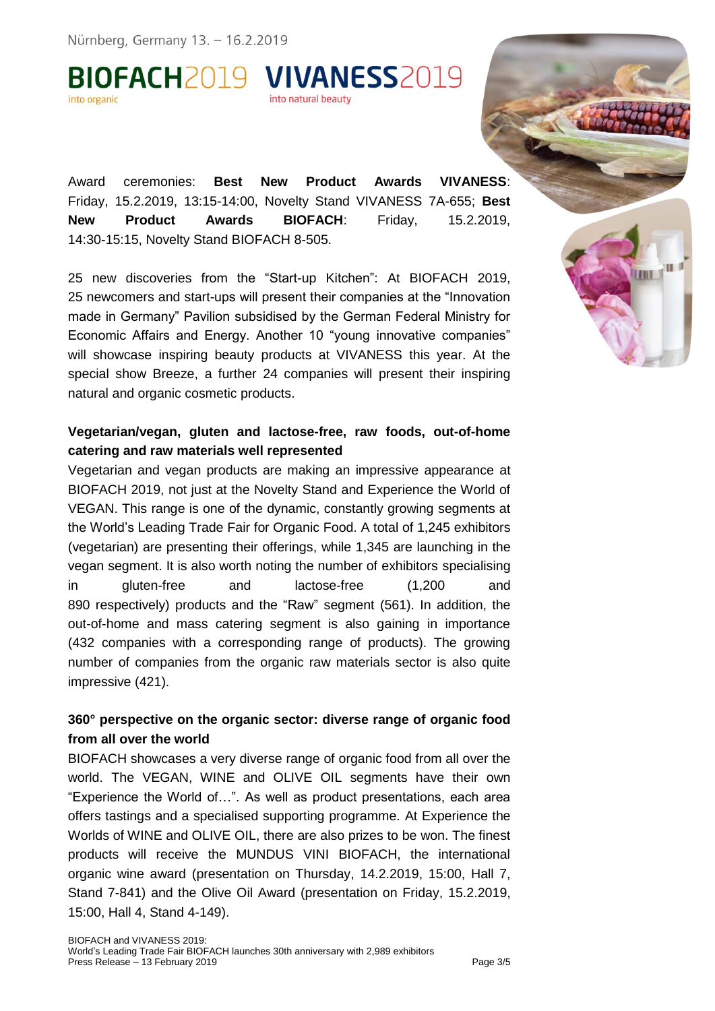Nürnberg, Germany 13. - 16.2.2019

BIOFACH2019 VIVANESS2019 into natural beauty into organic

Award ceremonies: **Best New Product Awards VIVANESS**: Friday, 15.2.2019, 13:15-14:00, Novelty Stand VIVANESS 7A-655; **Best New Product Awards BIOFACH**: Friday, 15.2.2019, 14:30-15:15, Novelty Stand BIOFACH 8-505.

25 new discoveries from the "Start-up Kitchen": At BIOFACH 2019, 25 newcomers and start-ups will present their companies at the "Innovation made in Germany" Pavilion subsidised by the German Federal Ministry for Economic Affairs and Energy. Another 10 "young innovative companies" will showcase inspiring beauty products at VIVANESS this year. At the special show Breeze, a further 24 companies will present their inspiring natural and organic cosmetic products.

#### **Vegetarian/vegan, gluten and lactose-free, raw foods, out-of-home catering and raw materials well represented**

Vegetarian and vegan products are making an impressive appearance at BIOFACH 2019, not just at the Novelty Stand and Experience the World of VEGAN. This range is one of the dynamic, constantly growing segments at the World's Leading Trade Fair for Organic Food. A total of 1,245 exhibitors (vegetarian) are presenting their offerings, while 1,345 are launching in the vegan segment. It is also worth noting the number of exhibitors specialising in gluten-free and lactose-free (1,200 and 890 respectively) products and the "Raw" segment (561). In addition, the out-of-home and mass catering segment is also gaining in importance (432 companies with a corresponding range of products). The growing number of companies from the organic raw materials sector is also quite impressive (421).

### **360° perspective on the organic sector: diverse range of organic food from all over the world**

BIOFACH showcases a very diverse range of organic food from all over the world. The VEGAN, WINE and OLIVE OIL segments have their own "Experience the World of…". As well as product presentations, each area offers tastings and a specialised supporting programme. At Experience the Worlds of WINE and OLIVE OIL, there are also prizes to be won. The finest products will receive the MUNDUS VINI BIOFACH, the international organic wine award (presentation on Thursday, 14.2.2019, 15:00, Hall 7, Stand 7-841) and the Olive Oil Award (presentation on Friday, 15.2.2019, 15:00, Hall 4, Stand 4-149).

ш **THE D**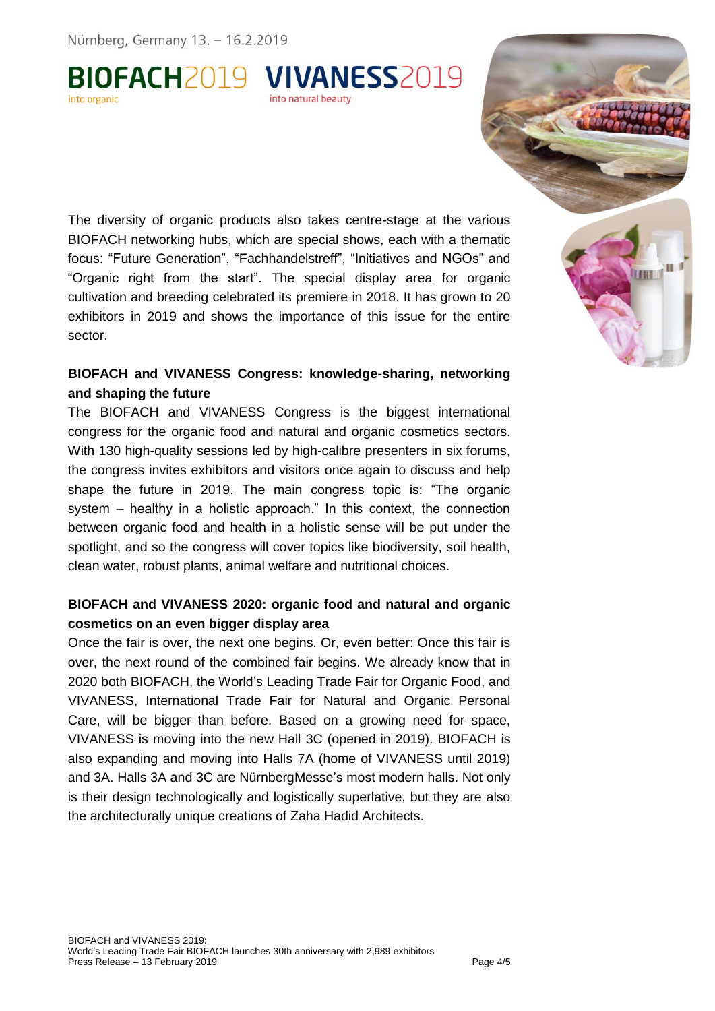BIOFACH2019 VIVANESS2019 into natural beauty

The diversity of organic products also takes centre-stage at the various BIOFACH networking hubs, which are special shows, each with a thematic focus: "Future Generation", "Fachhandelstreff", "Initiatives and NGOs" and "Organic right from the start". The special display area for organic cultivation and breeding celebrated its premiere in 2018. It has grown to 20 exhibitors in 2019 and shows the importance of this issue for the entire sector.

#### **BIOFACH and VIVANESS Congress: knowledge-sharing, networking and shaping the future**

The BIOFACH and VIVANESS Congress is the biggest international congress for the organic food and natural and organic cosmetics sectors. With 130 high-quality sessions led by high-calibre presenters in six forums, the congress invites exhibitors and visitors once again to discuss and help shape the future in 2019. The main congress topic is: "The organic system – healthy in a holistic approach." In this context, the connection between organic food and health in a holistic sense will be put under the spotlight, and so the congress will cover topics like biodiversity, soil health, clean water, robust plants, animal welfare and nutritional choices.

#### **BIOFACH and VIVANESS 2020: organic food and natural and organic cosmetics on an even bigger display area**

Once the fair is over, the next one begins. Or, even better: Once this fair is over, the next round of the combined fair begins. We already know that in 2020 both BIOFACH, the World's Leading Trade Fair for Organic Food, and VIVANESS, International Trade Fair for Natural and Organic Personal Care, will be bigger than before. Based on a growing need for space, VIVANESS is moving into the new Hall 3C (opened in 2019). BIOFACH is also expanding and moving into Halls 7A (home of VIVANESS until 2019) and 3A. Halls 3A and 3C are NürnbergMesse's most modern halls. Not only is their design technologically and logistically superlative, but they are also the architecturally unique creations of Zaha Hadid Architects.

ш **THEFT**